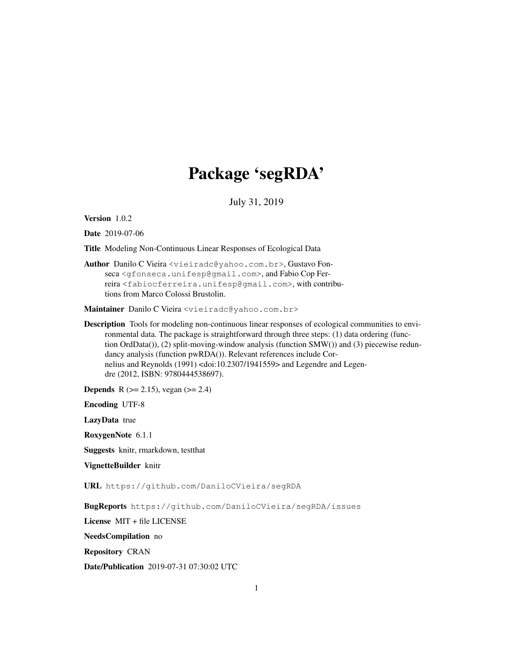# Package 'segRDA'

July 31, 2019

Version 1.0.2

Date 2019-07-06

Title Modeling Non-Continuous Linear Responses of Ecological Data

Author Danilo C Vieira <vieiradc@yahoo.com.br>, Gustavo Fonseca <gfonseca.unifesp@gmail.com>, and Fabio Cop Ferreira <fabiocferreira.unifesp@gmail.com>, with contributions from Marco Colossi Brustolin.

Maintainer Danilo C Vieira <vieiradc@yahoo.com.br>

Description Tools for modeling non-continuous linear responses of ecological communities to environmental data. The package is straightforward through three steps: (1) data ordering (function OrdData()), (2) split-moving-window analysis (function SMW()) and (3) piecewise redundancy analysis (function pwRDA()). Relevant references include Cornelius and Reynolds (1991) <doi:10.2307/1941559> and Legendre and Legendre (2012, ISBN: 9780444538697).

**Depends** R ( $>= 2.15$ ), vegan ( $>= 2.4$ )

Encoding UTF-8

LazyData true

RoxygenNote 6.1.1

Suggests knitr, rmarkdown, testthat

VignetteBuilder knitr

URL https://github.com/DaniloCVieira/segRDA

BugReports https://github.com/DaniloCVieira/segRDA/issues

License MIT + file LICENSE

NeedsCompilation no

Repository CRAN

Date/Publication 2019-07-31 07:30:02 UTC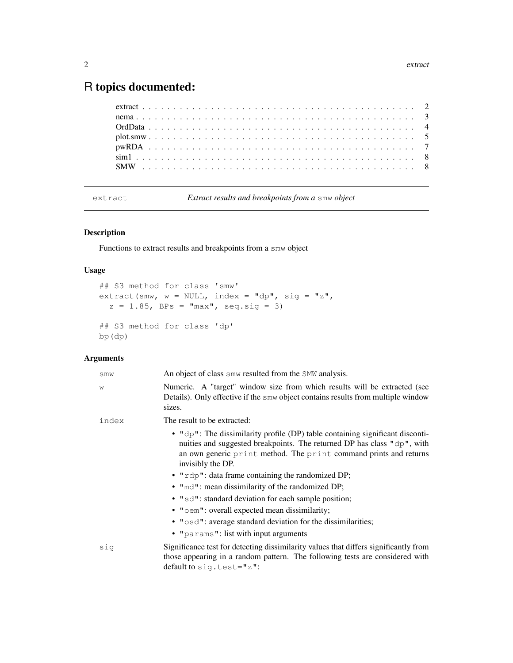# R topics documented:

extract *Extract results and breakpoints from a* smw *object*

## Description

Functions to extract results and breakpoints from a smw object

## Usage

```
## S3 method for class 'smw'
extract(smw, w = NULL, index = "dp", sig = "z",
  z = 1.85, BPs = "max", seq.sig = 3)
## S3 method for class 'dp'
bp(dp)
```
## Arguments

| smw   | An object of class smw resulted from the SMW analysis.                                                                                                                                                                                                |
|-------|-------------------------------------------------------------------------------------------------------------------------------------------------------------------------------------------------------------------------------------------------------|
| W     | Numeric. A "target" window size from which results will be extracted (see<br>Details). Only effective if the smw object contains results from multiple window<br>sizes.                                                                               |
| index | The result to be extracted:                                                                                                                                                                                                                           |
|       | • $"dp"$ : The dissimilarity profile (DP) table containing significant disconti-<br>nuities and suggested breakpoints. The returned DP has class "dp", with<br>an own generic print method. The print command prints and returns<br>invisibly the DP. |
|       | • "rdp": data frame containing the randomized DP;                                                                                                                                                                                                     |
|       | • "md": mean dissimilarity of the randomized DP;                                                                                                                                                                                                      |
|       | • "sd": standard deviation for each sample position;                                                                                                                                                                                                  |
|       | • "oem": overall expected mean dissimilarity;                                                                                                                                                                                                         |
|       | • "osd": average standard deviation for the dissimilarities;                                                                                                                                                                                          |
|       | • "params": list with input arguments                                                                                                                                                                                                                 |
| sig   | Significance test for detecting dissimilarity values that differs significantly from<br>those appearing in a random pattern. The following tests are considered with<br>default to $sig.test = "z":$                                                  |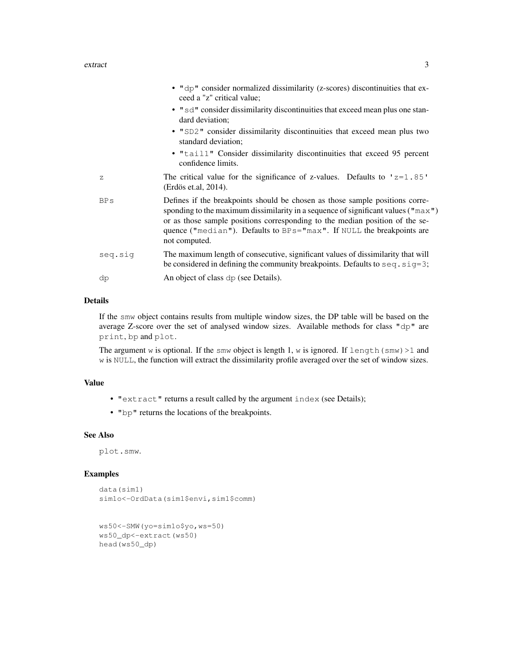## extract 3

|             | • "dp" consider normalized dissimilarity (z-scores) discontinuities that ex-<br>ceed a "z" critical value;                                                                                                                                                                                                                                                  |
|-------------|-------------------------------------------------------------------------------------------------------------------------------------------------------------------------------------------------------------------------------------------------------------------------------------------------------------------------------------------------------------|
|             | • "sd" consider dissimilarity discontinuities that exceed mean plus one stan-<br>dard deviation;                                                                                                                                                                                                                                                            |
|             | • "SD2" consider dissimilarity discontinuities that exceed mean plus two<br>standard deviation;                                                                                                                                                                                                                                                             |
|             | • "tail1" Consider dissimilarity discontinuities that exceed 95 percent<br>confidence limits.                                                                                                                                                                                                                                                               |
| $\mathbb Z$ | The critical value for the significance of z-values. Defaults to $'z=1.85'$<br>(Erdös et.al, 2014).                                                                                                                                                                                                                                                         |
| <b>BPs</b>  | Defines if the breakpoints should be chosen as those sample positions corre-<br>sponding to the maximum dissimilarity in a sequence of significant values ( $\text{max }$ ")<br>or as those sample positions corresponding to the median position of the se-<br>quence ("median"). Defaults to $BPS = "max"$ . If NULL the breakpoints are<br>not computed. |
| seq.sig     | The maximum length of consecutive, significant values of dissimilarity that will<br>be considered in defining the community breakpoints. Defaults to $seq$ . $sig=3$ ;                                                                                                                                                                                      |
| dp          | An object of class dp (see Details).                                                                                                                                                                                                                                                                                                                        |

## Details

If the smw object contains results from multiple window sizes, the DP table will be based on the average Z-score over the set of analysed window sizes. Available methods for class "dp" are print, bp and plot.

The argument w is optional. If the smw object is length 1, w is ignored. If length (smw) >1 and w is NULL, the function will extract the dissimilarity profile averaged over the set of window sizes.

## Value

- "extract" returns a result called by the argument index (see Details);
- "bp" returns the locations of the breakpoints.

## See Also

plot.smw.

## Examples

```
data(sim1)
sim1o<-OrdData(sim1$envi,sim1$comm)
```

```
ws50<-SMW(yo=sim1o$yo,ws=50)
ws50_dp<-extract(ws50)
head(ws50_dp)
```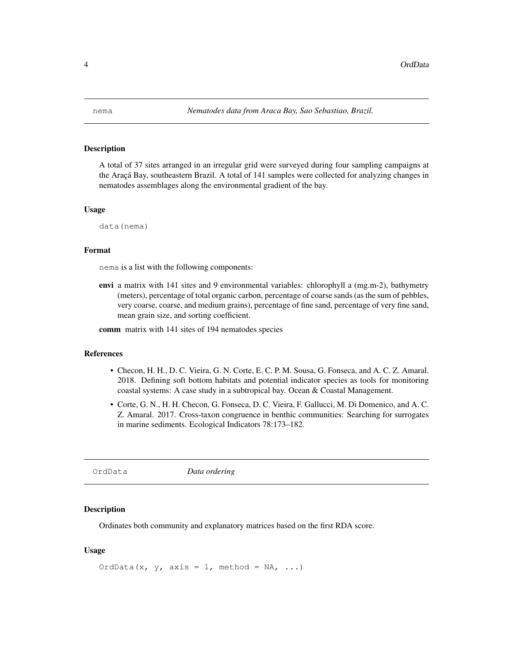## Description

A total of 37 sites arranged in an irregular grid were surveyed during four sampling campaigns at the Araçá Bay, southeastern Brazil. A total of 141 samples were collected for analyzing changes in nematodes assemblages along the environmental gradient of the bay.

#### Usage

data(nema)

## Format

nema is a list with the following components:

envi a matrix with 141 sites and 9 environmental variables: chlorophyll a (mg.m-2), bathymetry (meters), percentage of total organic carbon, percentage of coarse sands (as the sum of pebbles, very coarse, coarse, and medium grains), percentage of fine sand, percentage of very fine sand, mean grain size, and sorting coefficient.

comm matrix with 141 sites of 194 nematodes species

## References

- Checon, H. H., D. C. Vieira, G. N. Corte, E. C. P. M. Sousa, G. Fonseca, and A. C. Z. Amaral. 2018. Defining soft bottom habitats and potential indicator species as tools for monitoring coastal systems: A case study in a subtropical bay. Ocean & Coastal Management.
- Corte, G. N., H. H. Checon, G. Fonseca, D. C. Vieira, F. Gallucci, M. Di Domenico, and A. C. Z. Amaral. 2017. Cross-taxon congruence in benthic communities: Searching for surrogates in marine sediments. Ecological Indicators 78:173–182.

OrdData *Data ordering*

## Description

Ordinates both community and explanatory matrices based on the first RDA score.

## Usage

OrdData(x, y, axis = 1, method = NA, ...)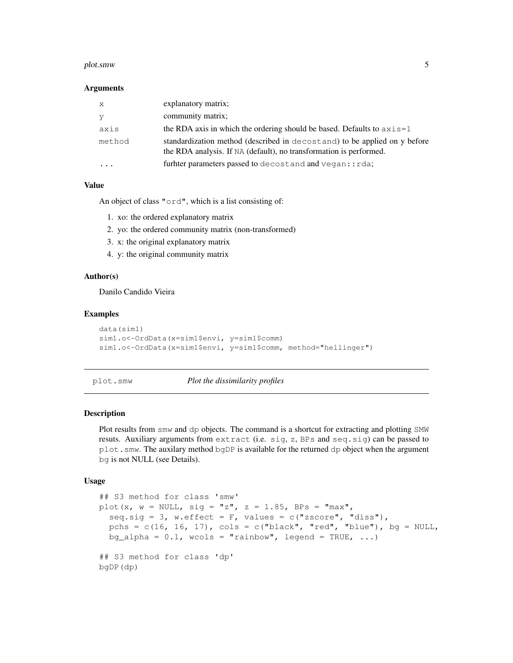## plot.smw 5

## **Arguments**

| X      | explanatory matrix;                                                                                                                             |
|--------|-------------------------------------------------------------------------------------------------------------------------------------------------|
| y      | community matrix;                                                                                                                               |
| axis   | the RDA axis in which the ordering should be based. Defaults to $axis=1$                                                                        |
| method | standardization method (described in decostand) to be applied on y before<br>the RDA analysis. If NA (default), no transformation is performed. |
|        | furhter parameters passed to decost and and vegan::rda;                                                                                         |

## Value

An object of class "ord", which is a list consisting of:

- 1. xo: the ordered explanatory matrix
- 2. yo: the ordered community matrix (non-transformed)
- 3. x: the original explanatory matrix
- 4. y: the original community matrix

## Author(s)

Danilo Candido Vieira

## Examples

```
data(sim1)
sim1.o<-OrdData(x=sim1$envi, y=sim1$comm)
sim1.o<-OrdData(x=sim1$envi, y=sim1$comm, method="hellinger")
```
## plot.smw *Plot the dissimilarity profiles*

## Description

Plot results from smw and dp objects. The command is a shortcut for extracting and plotting SMW resuts. Auxiliary arguments from extract (i.e. sig, z, BPs and seq.sig) can be passed to plot.smw. The auxilary method bgDP is available for the returned dp object when the argument bg is not NULL (see Details).

## Usage

```
## S3 method for class 'smw'
plot(x, w = NULL, sig = "z", z = 1.85, BPs = "max",
  seq.sig = 3, w.effect = F, values = c("zscore", "diss"),pchs = c(16, 16, 17), cols = c("black", "red", "blue"), bg = NULL,bg_alpha = 0.1, wcols = "rainbow", legend = TRUE, ...)
## S3 method for class 'dp'
bgDP(dp)
```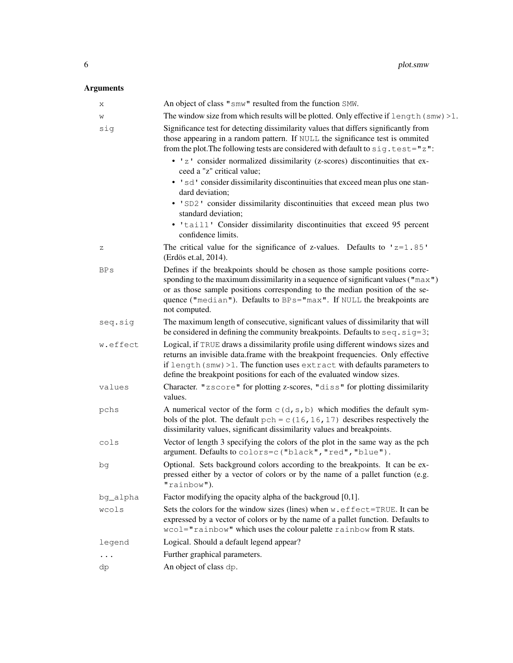## Arguments

| Χ        | An object of class "smw" resulted from the function SMW.                                                                                                                                                                                                                                                                                               |
|----------|--------------------------------------------------------------------------------------------------------------------------------------------------------------------------------------------------------------------------------------------------------------------------------------------------------------------------------------------------------|
| W        | The window size from which results will be plotted. Only effective if length (smw) >1.                                                                                                                                                                                                                                                                 |
| sig      | Significance test for detecting dissimilarity values that differs significantly from<br>those appearing in a random pattern. If NULL the significance test is ommited<br>from the plot. The following tests are considered with default to sig. test="z":                                                                                              |
|          | • 'z' consider normalized dissimilarity (z-scores) discontinuities that ex-<br>ceed a "z" critical value;                                                                                                                                                                                                                                              |
|          | • 'sd' consider dissimilarity discontinuities that exceed mean plus one stan-<br>dard deviation;                                                                                                                                                                                                                                                       |
|          | • 'SD2' consider dissimilarity discontinuities that exceed mean plus two<br>standard deviation;                                                                                                                                                                                                                                                        |
|          | • 'tail1' Consider dissimilarity discontinuities that exceed 95 percent<br>confidence limits.                                                                                                                                                                                                                                                          |
| Ζ        | The critical value for the significance of z-values. Defaults to $'z=1.85'$<br>(Erdös et.al, 2014).                                                                                                                                                                                                                                                    |
| BPs      | Defines if the breakpoints should be chosen as those sample positions corre-<br>sponding to the maximum dissimilarity in a sequence of significant values ( $\text{max }$ ")<br>or as those sample positions corresponding to the median position of the se-<br>quence ("median"). Defaults to BPs="max". If NULL the breakpoints are<br>not computed. |
| seq.siq  | The maximum length of consecutive, significant values of dissimilarity that will<br>be considered in defining the community breakpoints. Defaults to seq. sig=3;                                                                                                                                                                                       |
| w.effect | Logical, if TRUE draws a dissimilarity profile using different windows sizes and<br>returns an invisible data.frame with the breakpoint frequencies. Only effective<br>if length (smw) > 1. The function uses extract with defaults parameters to<br>define the breakpoint positions for each of the evaluated window sizes.                           |
| values   | Character. "zscore" for plotting z-scores, "diss" for plotting dissimilarity<br>values.                                                                                                                                                                                                                                                                |
| pchs     | A numerical vector of the form $C(d, s, b)$ which modifies the default sym-<br>bols of the plot. The default $pch = c(16, 16, 17)$ describes respectively the<br>dissimilarity values, significant dissimilarity values and breakpoints.                                                                                                               |
| cols     | Vector of length 3 specifying the colors of the plot in the same way as the pch<br>argument. Defaults to colors=c ("black", "red", "blue").                                                                                                                                                                                                            |
| bg       | Optional. Sets background colors according to the breakpoints. It can be ex-<br>pressed either by a vector of colors or by the name of a pallet function (e.g.<br>"rainbow").                                                                                                                                                                          |
| bq_alpha | Factor modifying the opacity alpha of the backgroud $[0,1]$ .                                                                                                                                                                                                                                                                                          |
| wcols    | Sets the colors for the window sizes (lines) when w. effect=TRUE. It can be<br>expressed by a vector of colors or by the name of a pallet function. Defaults to<br>wcol="rainbow" which uses the colour palette rainbow from R stats.                                                                                                                  |
| legend   | Logical. Should a default legend appear?                                                                                                                                                                                                                                                                                                               |
|          | Further graphical parameters.                                                                                                                                                                                                                                                                                                                          |
| dp       | An object of class dp.                                                                                                                                                                                                                                                                                                                                 |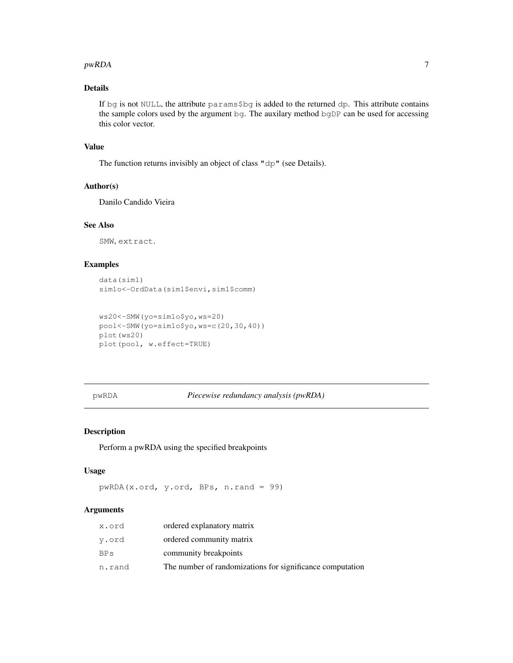## $pwRDA$  7

## Details

If bg is not NULL, the attribute params\$bg is added to the returned dp. This attribute contains the sample colors used by the argument bg. The auxilary method bgDP can be used for accessing this color vector.

## Value

The function returns invisibly an object of class "dp" (see Details).

## Author(s)

Danilo Candido Vieira

## See Also

SMW, extract.

## Examples

```
data(sim1)
sim1o<-OrdData(sim1$envi,sim1$comm)
```

```
ws20<-SMW(yo=sim1o$yo,ws=20)
pool<-SMW(yo=sim1o$yo,ws=c(20,30,40))
plot(ws20)
plot(pool, w.effect=TRUE)
```
## pwRDA *Piecewise redundancy analysis (pwRDA)*

## Description

Perform a pwRDA using the specified breakpoints

#### Usage

```
pwRDA(x.ord, y.ord, BPs, n.rand = 99)
```
## Arguments

| x.ord  | ordered explanatory matrix                                |
|--------|-----------------------------------------------------------|
| y.ord  | ordered community matrix                                  |
| BPS    | community breakpoints                                     |
| n.rand | The number of randomizations for significance computation |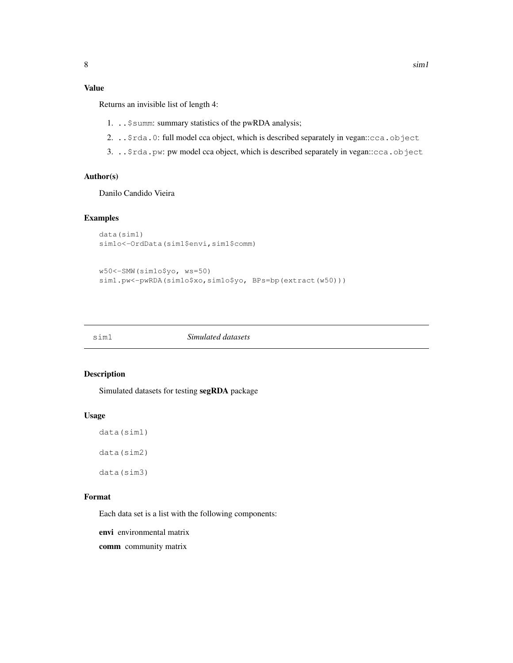## Value

Returns an invisible list of length 4:

- 1. ..\$summ: summary statistics of the pwRDA analysis;
- 2. . . \$rda.0: full model cca object, which is described separately in vegan:: cca.object
- 3. ..\$rda.pw: pw model cca object, which is described separately in vegan::cca.object

## Author(s)

Danilo Candido Vieira

## Examples

```
data(sim1)
sim1o<-OrdData(sim1$envi,sim1$comm)
```

```
w50<-SMW(sim1o$yo, ws=50)
sim1.pw<-pwRDA(sim1o$xo,sim1o$yo, BPs=bp(extract(w50)))
```

sim1 *Simulated datasets*

## Description

Simulated datasets for testing segRDA package

## Usage

```
data(sim1)
data(sim2)
```
data(sim3)

## Format

Each data set is a list with the following components:

envi environmental matrix

comm community matrix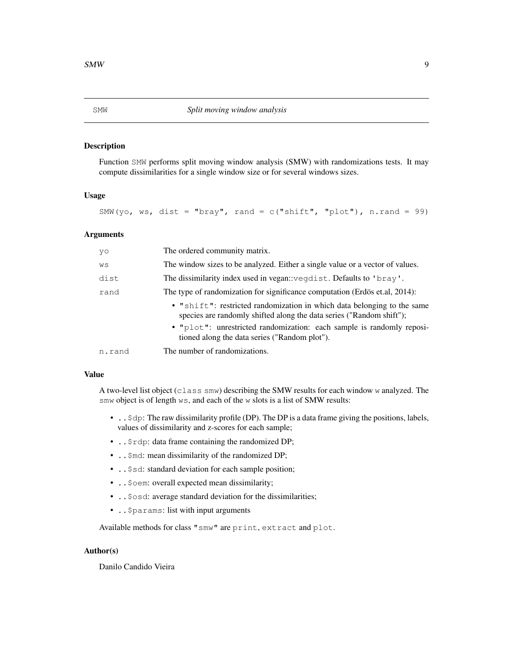## Description

Function SMW performs split moving window analysis (SMW) with randomizations tests. It may compute dissimilarities for a single window size or for several windows sizes.

#### Usage

SMW(yo, ws, dist = "bray", rand =  $c("shift", "plot"), n.random = 99)$ 

## Arguments

| yo     | The ordered community matrix.                                                                                                                   |
|--------|-------------------------------------------------------------------------------------------------------------------------------------------------|
| WS     | The window sizes to be analyzed. Either a single value or a vector of values.                                                                   |
| dist   | The dissimilarity index used in vegan: vegdist. Defaults to 'bray'.                                                                             |
| rand   | The type of randomization for significance computation (Erdös et.al, 2014):                                                                     |
|        | • "shift": restricted randomization in which data belonging to the same<br>species are randomly shifted along the data series ("Random shift"); |
|        | . "plot": unrestricted randomization: each sample is randomly reposi-<br>tioned along the data series ("Random plot").                          |
| n.rand | The number of randomizations.                                                                                                                   |

## Value

A two-level list object (class smw) describing the SMW results for each window w analyzed. The smw object is of length ws, and each of the w slots is a list of SMW results:

- . . \$dp: The raw dissimilarity profile (DP). The DP is a data frame giving the positions, labels, values of dissimilarity and z-scores for each sample;
- . . \$rdp: data frame containing the randomized DP;
- . . \$md: mean dissimilarity of the randomized DP;
- . . \$sd: standard deviation for each sample position;
- ..\$oem: overall expected mean dissimilarity;
- ..\$osd: average standard deviation for the dissimilarities;
- ..\$params: list with input arguments

Available methods for class "smw" are print, extract and plot.

## Author(s)

Danilo Candido Vieira